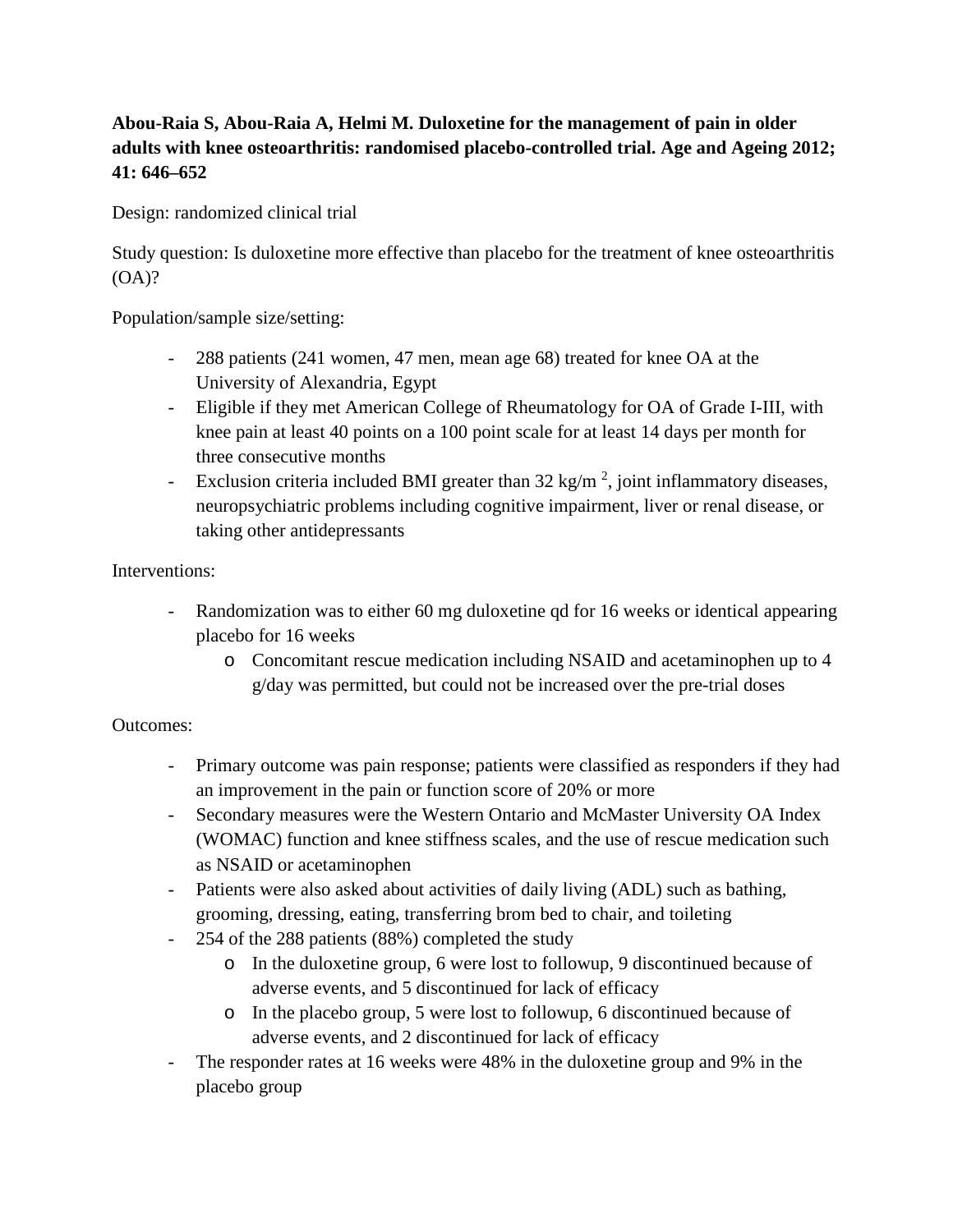## **Abou-Raia S, Abou-Raia A, Helmi M. Duloxetine for the management of pain in older adults with knee osteoarthritis: randomised placebo-controlled trial. Age and Ageing 2012; 41: 646–652**

Design: randomized clinical trial

Study question: Is duloxetine more effective than placebo for the treatment of knee osteoarthritis (OA)?

Population/sample size/setting:

- 288 patients (241 women, 47 men, mean age 68) treated for knee OA at the University of Alexandria, Egypt
- Eligible if they met American College of Rheumatology for OA of Grade I-III, with knee pain at least 40 points on a 100 point scale for at least 14 days per month for three consecutive months
- Exclusion criteria included BMI greater than  $32 \text{ kg/m}^2$ , joint inflammatory diseases, neuropsychiatric problems including cognitive impairment, liver or renal disease, or taking other antidepressants

## Interventions:

- Randomization was to either 60 mg duloxetine qd for 16 weeks or identical appearing placebo for 16 weeks
	- o Concomitant rescue medication including NSAID and acetaminophen up to 4 g/day was permitted, but could not be increased over the pre-trial doses

## Outcomes:

- Primary outcome was pain response; patients were classified as responders if they had an improvement in the pain or function score of 20% or more
- Secondary measures were the Western Ontario and McMaster University OA Index (WOMAC) function and knee stiffness scales, and the use of rescue medication such as NSAID or acetaminophen
- Patients were also asked about activities of daily living (ADL) such as bathing, grooming, dressing, eating, transferring brom bed to chair, and toileting
- 254 of the 288 patients (88%) completed the study
	- o In the duloxetine group, 6 were lost to followup, 9 discontinued because of adverse events, and 5 discontinued for lack of efficacy
	- o In the placebo group, 5 were lost to followup, 6 discontinued because of adverse events, and 2 discontinued for lack of efficacy
- The responder rates at 16 weeks were 48% in the duloxetine group and 9% in the placebo group